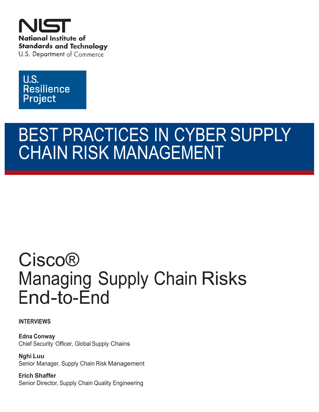



# BEST PRACTICES IN CYBER SUPPLY CHAIN RISK MANAGEMENT

## Cisco® Managing Supply Chain Risks End-to-End

**INTERVIEWS**

**Edna Conway** Chief Security Officer, Global Supply Chains

**Nghi Luu** Senior Manager, Supply Chain Risk Management

**Erich Shaffer** Senior Director, Supply Chain Quality Engineering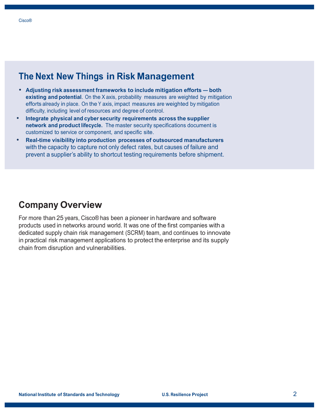## **The Next New Things in Risk Management**

- **Adjusting risk assessment frameworks to include mitigation efforts — both existing and potential**. On the X axis, probability measures are weighted by mitigation efforts already in place. On the Y axis, impact measures are weighted by mitigation difficulty, including level of resources and degree of control.
- **Integrate physical and cyber security requirements across the supplier network and product lifecycle.** The master security specifications document is customized to service or component, and specific site.
- **Real-time visibility into production processes of outsourced manufacturers** with the capacity to capture not only defect rates, but causes of failure and prevent a supplier's ability to shortcut testing requirements before shipment.

## **Company Overview**

For more than 25 years, Cisco® has been a pioneer in hardware and software products used in networks around world. It was one of the first companies with a dedicated supply chain risk management (SCRM) team, and continues to innovate in practical risk management applications to protect the enterprise and its supply chain from disruption and vulnerabilities.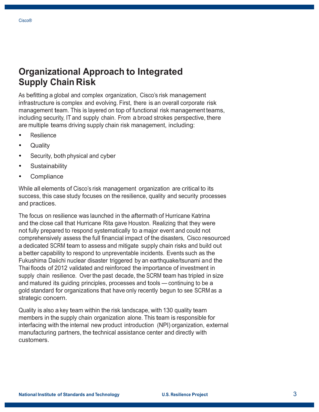## **Organizational Approach to Integrated Supply Chain Risk**

As befitting a global and complex organization, Cisco's risk management infrastructure is complex and evolving. First, there is an overall corporate risk management team. This is layered on top of functional risk management teams, including security, IT and supply chain. From a broad strokes perspective, there are multiple teams driving supply chain risk management, including:

- Resilience
- **Quality**
- Security, both physical and cyber
- **Sustainability**
- **Compliance**

While all elements of Cisco's risk management organization are critical to its success, this case study focuses on the resilience, quality and security processes and practices.

The focus on resilience was launched in the aftermath of Hurricane Katrina and the close call that Hurricane Rita gave Houston. Realizing that they were not fully prepared to respond systematically to a major event and could not comprehensively assess the full financial impact of the disasters, Cisco resourced a dedicated SCRM team to assess and mitigate supply chain risks and build out a better capability to respond to unpreventable incidents. Events such as the Fukushima Daiichi nuclear disaster triggered by an earthquake/tsunami and the Thai floods of 2012 validated and reinforced the importance of investment in supply chain resilience. Over the past decade, the SCRM team has tripled in size and matured its guiding principles, processes and tools — continuing to be a gold standard for organizations that have only recently begun to see SCRM as a strategic concern.

Quality is also a key team within the risk landscape, with 130 quality team members in the supply chain organization alone. This team is responsible for interfacing with the internal new product introduction (NPI) organization, external manufacturing partners, the technical assistance center and directly with customers.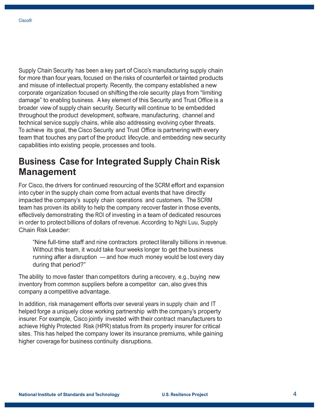Supply Chain Security has been a key part of Cisco's manufacturing supply chain for more than four years, focused on the risks of counterfeit or tainted products and misuse of intellectual property. Recently, the company established a new corporate organization focused on shifting the role security plays from "limiting damage" to enabling business. A key element of this Security and Trust Office is a broader view of supply chain security. Security will continue to be embedded throughout the product development, software, manufacturing, channel and technical service supply chains, while also addressing evolving cyber threats. To achieve its goal, the Cisco Security and Trust Office is partnering with every team that touches any part of the product lifecycle, and embedding new security capabilities into existing people, processes and tools.

## **Business Case for Integrated Supply Chain Risk Management**

For Cisco, the drivers for continued resourcing of the SCRM effort and expansion into cyber in the supply chain come from actual events that have directly impacted the company's supply chain operations and customers. The SCRM team has proven its ability to help the company recover faster in those events, effectively demonstrating the ROI of investing in a team of dedicated resources in order to protect billions of dollars of revenue. According to Nghi Luu, Supply Chain Risk Leader:

"Nine full-time staff and nine contractors protect literally billions in revenue. Without this team, it would take four weeks longer to get the business running after a disruption — and how much money would be lost every day during that period?"

The ability to move faster than competitors during a recovery, e.g., buying new inventory from common suppliers before a competitor can, also gives this company a competitive advantage.

In addition, risk management efforts over several years in supply chain and IT helped forge a uniquely close working partnership with the company's property insurer. For example, Cisco jointly invested with their contract manufacturers to achieve Highly Protected Risk (HPR) status from its property insurer for critical sites. This has helped the company lower its insurance premiums, while gaining higher coverage for business continuity disruptions.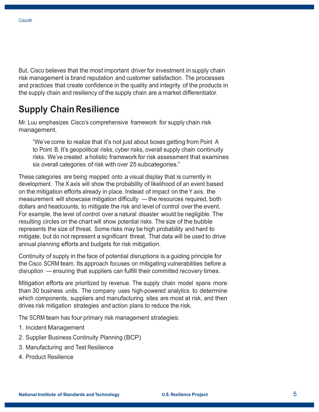But, Cisco believes that the most important driver for investment in supply chain risk management is brand reputation and customer satisfaction. The processes and practices that create confidence in the quality and integrity of the products in the supply chain and resiliency of the supply chain are a market differentiator.

## **Supply Chain Resilience**

Mr. Luu emphasizes Cisco's comprehensive framework for supply chain risk management.

"We've come to realize that it's not just about boxes getting from Point A to Point B. It's geopolitical risks, cyber risks, overall supply chain continuity risks. We've created a holistic framework for risk assessment that examines six overall categories of risk with over 25 subcategories."

These categories are being mapped onto a visual display that is currently in development. The X axis will show the probability of likelihood of an event based on the mitigation efforts already in place. Instead of impact on the Y axis, the measurement will showcase mitigation difficulty — the resources required, both dollars and headcounts, to mitigate the risk and level of control over the event. For example, the level of control over a natural disaster would be negligible. The resulting circles on the chart will show potential risks. The size of the bubble represents the size of threat. Some risks may be high probability and hard to mitigate, but do not represent a significant threat. That data will be used to drive annual planning efforts and budgets for risk mitigation.

Continuity of supply in the face of potential disruptions is a guiding principle for the Cisco SCRM team. Its approach focuses on mitigating vulnerabilities before a disruption — ensuring that suppliers can fulfill their committed recovery times.

Mitigation efforts are prioritized by revenue. The supply chain model spans more than 30 business units. The company uses high-powered analytics to determine which components, suppliers and manufacturing sites are most at risk, and then drives risk mitigation strategies and action plans to reduce the risk.

The SCRM team has four primary risk management strategies:

- 1. Incident Management
- 2. Supplier Business Continuity Planning (BCP)
- 3. Manufacturing and Test Resilience
- 4. Product Resilience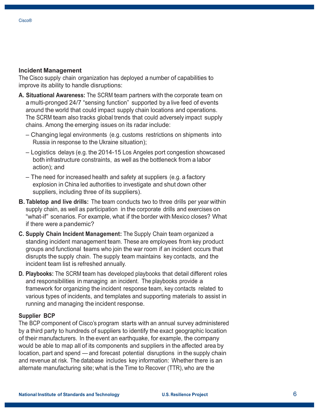#### **Incident Management**

The Cisco supply chain organization has deployed a number of capabilities to improve its ability to handle disruptions:

- **A. Situational Awareness:** The SCRM team partners with the corporate team on a multi-pronged 24/7 "sensing function" supported by a live feed of events around the world that could impact supply chain locations and operations. The SCRM team also tracks global trends that could adversely impact supply chains. Among the emerging issues on its radar include:
	- Changing legal environments (e.g. customs restrictions on shipments into Russia in response to the Ukraine situation);
	- Logistics delays (e.g. the 2014-15 Los Angeles port congestion showcased both infrastructure constraints, as well as the bottleneck from a labor action); and
	- The need for increased health and safety at suppliers (e.g. a factory explosion in China led authorities to investigate and shut down other suppliers, including three of its suppliers).
- **B. Tabletop and live drills:** The team conducts two to three drills per year within supply chain, as well as participation in the corporate drills and exercises on "what-if" scenarios. For example, what if the border with Mexico closes? What if there were a pandemic?
- **C. Supply Chain Incident Management:** The Supply Chain team organized a standing incident management team. These are employees from key product groups and functional teams who join the war room if an incident occurs that disrupts the supply chain. The supply team maintains key contacts, and the incident team list is refreshed annually.
- **D. Playbooks:** The SCRM team has developed playbooks that detail different roles and responsibilities in managing an incident. The playbooks provide a framework for organizing the incident response team, key contacts related to various types of incidents, and templates and supporting materials to assist in running and managing the incident response.

#### **Supplier BCP**

The BCP component of Cisco's program starts with an annual survey administered by a third party to hundreds of suppliers to identify the exact geographic location of their manufacturers. In the event an earthquake, for example, the company would be able to map all of its components and suppliers in the affected area by location, part and spend — and forecast potential disruptions in the supply chain and revenue at risk. The database includes key information: Whether there is an alternate manufacturing site; what is the Time to Recover (TTR), who are the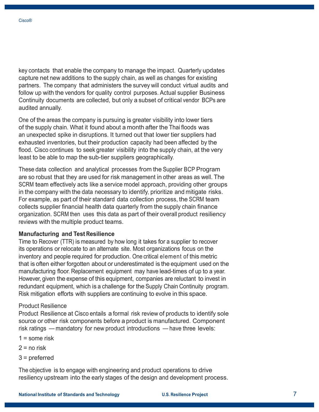key contacts that enable the company to manage the impact. Quarterly updates capture net new additions to the supply chain, as well as changes for existing partners. The company that administers the survey will conduct virtual audits and follow up with the vendors for quality control purposes. Actual supplier Business Continuity documents are collected, but only a subset of critical vendor BCPs are audited annually.

One of the areas the company is pursuing is greater visibility into lower tiers of the supply chain. What it found about a month after the Thai floods was an unexpected spike in disruptions. It turned out that lower tier suppliers had exhausted inventories, but their production capacity had been affected by the flood. Cisco continues to seek greater visibility into the supply chain, at the very least to be able to map the sub-tier suppliers geographically.

These data collection and analytical processes from the Supplier BCP Program are so robust that they are used for risk management in other areas as well. The SCRM team effectively acts like a service model approach, providing other groups in the company with the data necessary to identify, prioritize and mitigate risks. For example, as part of their standard data collection process, the SCRM team collects supplier financial health data quarterly from the supply chain finance organization. SCRM then uses this data as part of their overall product resiliency reviews with the multiple product teams.

#### **Manufacturing and Test Resilience**

Time to Recover (TTR) is measured by how long it takes for a supplier to recover its operations orrelocate to an alternate site. Most organizations focus on the inventory and people required for production. One critical element of this metric that is often either forgotten about or underestimated is the equipment used on the manufacturing floor. Replacement equipment may have lead-times of up to a year. However, given the expense of this equipment, companies are reluctant to invest in redundant equipment, which is a challenge for the Supply Chain Continuity program. Risk mitigation efforts with suppliers are continuing to evolve in this space.

#### Product Resilience

Product Resilience at Cisco entails a formal risk review of products to identify sole source or other risk components before a product is manufactured. Component risk ratings — mandatory for new product introductions — have three levels:

- $1 =$ some risk
- $2 =$  no risk
- 3 = preferred

The objective is to engage with engineering and product operations to drive resiliency upstream into the early stages of the design and development process.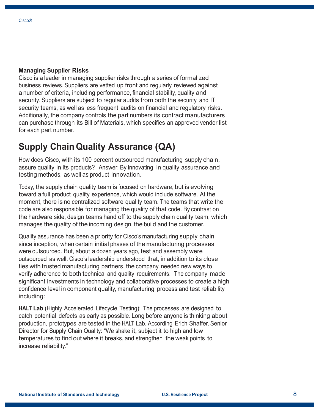#### **Managing Supplier Risks**

Cisco is a leader in managing supplier risks through a series of formalized business reviews. Suppliers are vetted up front and regularly reviewed against a number of criteria, including performance, financial stability, quality and security. Suppliers are subject to regular audits from both the security and IT security teams, as well as less frequent audits on financial and regulatory risks. Additionally, the company controls the part numbers its contract manufacturers can purchase through its Bill of Materials, which specifies an approved vendor list for each part number.

## **Supply Chain Quality Assurance (QA)**

How does Cisco, with its 100 percent outsourced manufacturing supply chain, assure quality in its products? Answer: By innovating in quality assurance and testing methods, as well as product innovation.

Today, the supply chain quality team is focused on hardware, but is evolving toward a full product quality experience, which would include software. At the moment, there is no centralized software quality team. The teams that write the code are also responsible for managing the quality of that code. By contrast on the hardware side, design teams hand off to the supply chain quality team, which manages the quality of the incoming design, the build and the customer.

Quality assurance has been a priority for Cisco's manufacturing supply chain since inception, when certain initial phases of the manufacturing processes were outsourced. But, about a dozen years ago, test and assembly were outsourced as well. Cisco's leadership understood that, in addition to its close ties with trusted manufacturing partners, the company needed new ways to verify adherence to both technical and quality requirements. The company made significant investments in technology and collaborative processes to create a high confidence level in component quality, manufacturing process and test reliability, including:

**HALT Lab** (Highly Accelerated Lifecycle Testing): The processes are designed to catch potential defects as early as possible. Long before anyone is thinking about production, prototypes are tested in the HALT Lab. According Erich Shaffer, Senior Director for Supply Chain Quality: "We shake it, subject it to high and low temperatures to find out where it breaks, and strengthen the weak points to increase reliability."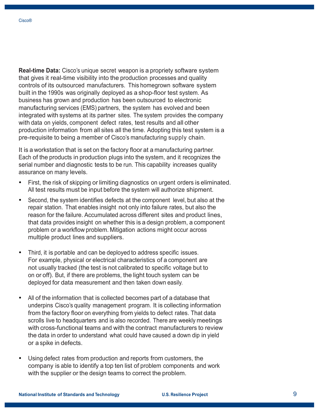**Real-time Data:** Cisco's unique secret weapon is a propriety software system that gives it real-time visibility into the production processes and quality controls of its outsourced manufacturers. This homegrown software system built in the 1990s was originally deployed as a shop-floor test system. As business has grown and production has been outsourced to electronic manufacturing services (EMS) partners, the system has evolved and been integrated with systems at its partner sites. The system provides the company with data on yields, component defect rates, test results and all other production information from all sites all the time. Adopting this test system is a pre-requisite to being a member of Cisco's manufacturing supply chain.

It is a workstation that is set on the factory floor at a manufacturing partner. Each of the products in production plugs into the system, and it recognizes the serial number and diagnostic tests to be run. This capability increases quality assurance on many levels.

- First, the risk of skipping or limiting diagnostics on urgent orders is eliminated. All test results must be input before the system will authorize shipment.
- Second, the system identifies defects at the component level, but also at the repair station. That enables insight not only into failure rates, but also the reason for the failure. Accumulated across different sites and product lines, that data provides insight on whether this is a design problem, a component problem or a workflow problem. Mitigation actions might occur across multiple product lines and suppliers.
- Third, it is portable and can be deployed to address specific issues. For example, physical or electrical characteristics of a component are not usually tracked (the test is not calibrated to specific voltage but to on or off). But, if there are problems, the light touch system can be deployed for data measurement and then taken down easily.
- All of the information that is collected becomes part of a database that underpins Cisco's quality management program. It is collecting information from the factory floor on everything from yields to defect rates. That data scrolls live to headquarters and is also recorded. There are weekly meetings with cross-functional teams and with the contract manufacturers to review the data in order to understand what could have caused a down dip in yield or a spike in defects.
- Using defect rates from production and reports from customers, the company is able to identify a top ten list of problem components and work with the supplier or the design teams to correct the problem.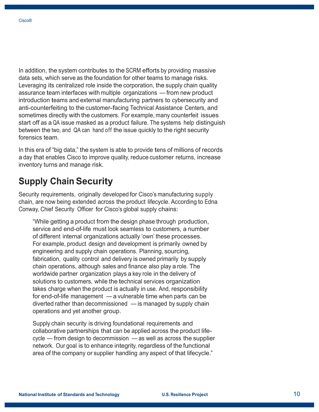In addition, the system contributes to the SCRM efforts by providing massive data sets, which serve as the foundation for other teams to manage risks. Leveraging its centralized role inside the corporation, the supply chain quality assurance team interfaces with multiple organizations — from new product introduction teams and external manufacturing partners to cybersecurity and anti-counterfeiting to the customer-facing Technical Assistance Centers, and sometimes directly with the customers. For example, many counterfeit issues start off as a QA issue masked as a product failure. The systems help distinguish between the two, and QA can hand off the issue quickly to the right security forensics team.

In this era of "big data," the system is able to provide tens of millions of records a day that enables Cisco to improve quality, reduce customer returns, increase inventory turns and manage risk.

## **Supply Chain Security**

Security requirements, originally developed for Cisco's manufacturing supply chain, are now being extended across the product lifecycle. According to Edna Conway, Chief Security Officer for Cisco's global supply chains:

"While getting a product from the design phase through production, service and end-of-life must look seamless to customers, a number of different internal organizations actually 'own' these processes. For example, product design and development is primarily owned by engineering and supply chain operations. Planning, sourcing, fabrication, quality control and delivery is owned primarily by supply chain operations, although sales and finance also play a role. The worldwide partner organization plays a key role in the delivery of solutions to customers, while the technical services organization takes charge when the product is actually in use. And, responsibility for end-of-life management — a vulnerable time when parts can be diverted rather than decommissioned — is managed by supply chain operations and yet another group.

Supply chain security is driving foundational requirements and collaborative partnerships that can be applied across the product lifecycle — from design to decommission — as well as across the supplier network. Our goal is to enhance integrity, regardless of the functional area of the company or supplier handling any aspect of that lifecycle."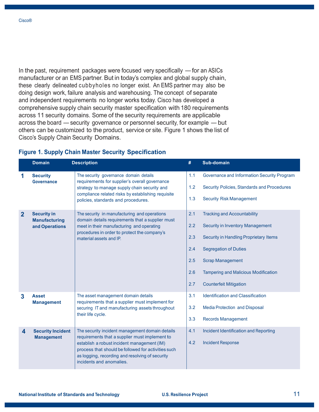In the past, requirement packages were focused very specifically — for an ASICs manufacturer or an EMS partner. But in today's complex and global supply chain, these clearly delineated cubbyholes no longer exist. An EMS partner may also be doing design work, failure analysis and warehousing. The concept of separate and independent requirements no longer works today. Cisco has developed a comprehensive supply chain security master specification with 180 requirements across 11 security domains. Some of the security requirements are applicable across the board — security governance or personnel security, for example — but others can be customized to the product, service or site. Figure 1 shows the list of Cisco's Supply Chain Security Domains.

|                         | <b>Domain</b>                                                | <b>Description</b>                                                                                                                                                                                                                                                                     | #   | Sub-domain                                  |
|-------------------------|--------------------------------------------------------------|----------------------------------------------------------------------------------------------------------------------------------------------------------------------------------------------------------------------------------------------------------------------------------------|-----|---------------------------------------------|
|                         | <b>Security</b><br><b>Governance</b>                         | The security governance domain details<br>requirements for supplier's overall governance<br>strategy to manage supply chain security and<br>compliance related risks by establishing requisite<br>policies, standards and procedures.                                                  | 1.1 | Governance and Information Security Program |
|                         |                                                              |                                                                                                                                                                                                                                                                                        | 1.2 | Security Policies, Standards and Procedures |
|                         |                                                              |                                                                                                                                                                                                                                                                                        | 1.3 | <b>Security Risk Management</b>             |
| $\overline{2}$          | <b>Security in</b><br><b>Manufacturing</b><br>and Operations | The security in manufacturing and operations<br>domain details requirements that a supplier must<br>meet in their manufacturing and operating<br>procedures in order to protect the company's<br>material assets and IP.                                                               | 2.1 | <b>Tracking and Accountability</b>          |
|                         |                                                              |                                                                                                                                                                                                                                                                                        | 2.2 | <b>Security in Inventory Management</b>     |
|                         |                                                              |                                                                                                                                                                                                                                                                                        | 2.3 | Security in Handling Proprietary Items      |
|                         |                                                              |                                                                                                                                                                                                                                                                                        | 2.4 | <b>Segregation of Duties</b>                |
|                         |                                                              |                                                                                                                                                                                                                                                                                        | 2.5 | <b>Scrap Management</b>                     |
|                         |                                                              |                                                                                                                                                                                                                                                                                        | 2.6 | <b>Tampering and Malicious Modification</b> |
|                         |                                                              |                                                                                                                                                                                                                                                                                        | 2.7 | <b>Counterfeit Mitigation</b>               |
| 3                       | <b>Asset</b><br><b>Management</b>                            | The asset management domain details<br>requirements that a supplier must implement for<br>securing IT and manufacturing assets throughout<br>their life cycle.                                                                                                                         | 3.1 | <b>Identification and Classification</b>    |
|                         |                                                              |                                                                                                                                                                                                                                                                                        | 3.2 | <b>Media Protection and Disposal</b>        |
|                         |                                                              |                                                                                                                                                                                                                                                                                        | 3.3 | <b>Records Management</b>                   |
| $\overline{\mathbf{4}}$ | <b>Security Incident</b><br><b>Management</b>                | The security incident management domain details<br>requirements that a supplier must implement to<br>establish a robust incident management (IM)<br>process that should be followed for activities such<br>as logging, recording and resolving of security<br>incidents and anomalies. | 4.1 | Incident Identification and Reporting       |
|                         |                                                              |                                                                                                                                                                                                                                                                                        | 4.2 | <b>Incident Response</b>                    |

#### **Figure 1. Supply Chain Master Security Specification**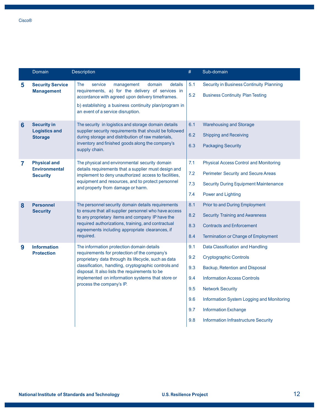|   | Domain                                                       | Description                                                                                                                                                                                                                                                                                                                                  | $\#$       | Sub-domain                                                                          |
|---|--------------------------------------------------------------|----------------------------------------------------------------------------------------------------------------------------------------------------------------------------------------------------------------------------------------------------------------------------------------------------------------------------------------------|------------|-------------------------------------------------------------------------------------|
| 5 | <b>Security Service</b><br><b>Management</b>                 | The<br>service<br>domain<br>details<br>management<br>requirements, a) for the delivery of services in<br>accordance with agreed upon delivery timeframes.                                                                                                                                                                                    | 5.1<br>5.2 | Security in Business Continuity Planning<br><b>Business Continuity Plan Testing</b> |
|   |                                                              | b) establishing a business continuity plan/program in<br>an event of a service disruption.                                                                                                                                                                                                                                                   |            |                                                                                     |
| 6 | <b>Security in</b><br><b>Logistics and</b><br><b>Storage</b> | The security in logistics and storage domain details<br>supplier security requirements that should be followed<br>during storage and distribution of raw materials,<br>inventory and finished goods along the company's<br>supply chain.                                                                                                     | 6.1<br>6.2 | <b>Warehousing and Storage</b><br><b>Shipping and Receiving</b>                     |
|   |                                                              |                                                                                                                                                                                                                                                                                                                                              | 6.3        | <b>Packaging Security</b>                                                           |
| 7 | <b>Physical and</b>                                          | The physical and environmental security domain<br>details requirements that a supplier must design and<br>implement to deny unauthorized access to facilities,<br>equipment and resources, and to protect personnel<br>and property from damage or harm.                                                                                     | 7.1        | <b>Physical Access Control and Monitoring</b>                                       |
|   | <b>Environmental</b><br><b>Security</b>                      |                                                                                                                                                                                                                                                                                                                                              | 7.2        | Perimeter Security and Secure Areas                                                 |
|   |                                                              |                                                                                                                                                                                                                                                                                                                                              | 7.3        | <b>Security During Equipment Maintenance</b>                                        |
|   |                                                              |                                                                                                                                                                                                                                                                                                                                              | 7.4        | Power and Lighting                                                                  |
| 8 | <b>Personnel</b>                                             | The personnel security domain details requirements<br>to ensure that all supplier personnel who have access<br>to any proprietary items and company IP have the<br>required authorizations, training, and contractual<br>agreements including appropriate clearances, if<br>required.                                                        | 8.1        | <b>Prior to and During Employment</b>                                               |
|   | <b>Security</b>                                              |                                                                                                                                                                                                                                                                                                                                              | 8.2        | Security Training and Awareness                                                     |
|   |                                                              |                                                                                                                                                                                                                                                                                                                                              | 8.3        | <b>Contracts and Enforcement</b>                                                    |
|   |                                                              |                                                                                                                                                                                                                                                                                                                                              | 8.4        | Termination or Change of Employment                                                 |
| 9 | <b>Information</b>                                           | The information protection domain details<br>requirements for protection of the company's<br>proprietary data through its lifecycle, such as data<br>classification, handling, cryptographic controls and<br>disposal. It also lists the requirements to be<br>implemented on information systems that store or<br>process the company's IP. | 9.1        | Data Classification and Handling                                                    |
|   | <b>Protection</b>                                            |                                                                                                                                                                                                                                                                                                                                              | 9.2        | <b>Cryptographic Controls</b>                                                       |
|   |                                                              |                                                                                                                                                                                                                                                                                                                                              | 9.3        | Backup, Retention and Disposal                                                      |
|   |                                                              |                                                                                                                                                                                                                                                                                                                                              | 9.4        | <b>Information Access Controls</b>                                                  |
|   |                                                              |                                                                                                                                                                                                                                                                                                                                              | 9.5        | <b>Network Security</b>                                                             |
|   |                                                              |                                                                                                                                                                                                                                                                                                                                              | 9.6        | Information System Logging and Monitoring                                           |
|   |                                                              |                                                                                                                                                                                                                                                                                                                                              | 9.7        | <b>Information Exchange</b>                                                         |
|   |                                                              |                                                                                                                                                                                                                                                                                                                                              | 9.8        | <b>Information Infrastructure Security</b>                                          |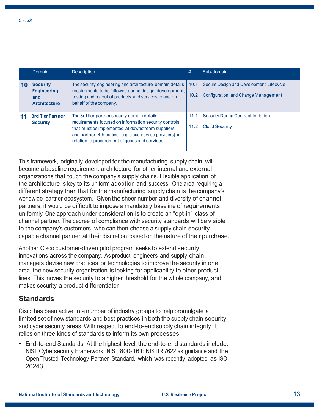| Domain                                                              | <b>Description</b>                                                                                                                                                                                                                                                        | #            | Sub-domain                                                                     |
|---------------------------------------------------------------------|---------------------------------------------------------------------------------------------------------------------------------------------------------------------------------------------------------------------------------------------------------------------------|--------------|--------------------------------------------------------------------------------|
| <b>Security</b><br><b>Engineering</b><br>and<br><b>Architecture</b> | The security engineering and architecture domain details<br>requirements to be followed during design, development,<br>testing and rollout of products and services to and on<br>behalf of the company.                                                                   | 10.1<br>10.2 | Secure Design and Development Lifecycle<br>Configuration and Change Management |
| <b>3rd Tier Partner</b><br><b>Security</b>                          | The 3rd tier partner security domain details<br>requirements focused on information security controls<br>that must be implemented at downstream suppliers<br>and partner (4th parties, e.g. cloud service providers) in<br>relation to procurement of goods and services. | 11.1<br>11.2 | <b>Security During Contract Initiation</b><br><b>Cloud Security</b>            |

This framework, originally developed for the manufacturing supply chain, will become a baseline requirement architecture for other internal and external organizations that touch the company's supply chains. Flexible application of the architecture is key to its uniform adoption and success. One area requiring a different strategy than that for the manufacturing supply chain is the company's worldwide partner ecosystem. Given the sheer number and diversity of channel partners, it would be difficult to impose a mandatory baseline of requirements uniformly. One approach under consideration is to create an "opt-in" class of channel partner. The degree of compliance with security standards will be visible to the company's customers, who can then choose a supply chain security capable channel partner at their discretion based on the nature of their purchase.

Another Cisco customer-driven pilot program seeks to extend security innovations across the company. As product engineers and supply chain managers devise new practices or technologies to improve the security in one area, the new security organization is looking for applicability to other product lines. This moves the security to a higher threshold for the whole company, and makes security a product differentiator.

### **Standards**

Cisco has been active in a number of industry groups to help promulgate a limited set of new standards and best practices in both the supply chain security and cyber security areas. With respect to end-to-end supply chain integrity, it relies on three kinds of standards to inform its own processes:

• End-to-end Standards: At the highest level, the end-to-end standards include: NIST Cybersecurity Framework; NIST 800-161; NISTIR 7622 as guidance and the Open Trusted Technology Partner Standard, which was recently adopted as ISO 20243.